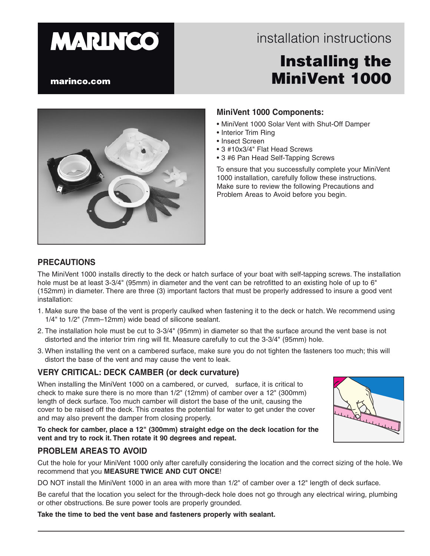# **MARINCO**

# installation instructions installation instructions

# Installing the MiniVent 1000

#### marinco.com



#### **MiniVent 1000 Components:**

- MiniVent 1000 Solar Vent with Shut-Off Damper
- Interior Trim Ring
- Insect Screen
- 3 #10x3/4" Flat Head Screws
- 3 #6 Pan Head Self-Tapping Screws

To ensure that you successfully complete your MiniVent 1000 installation, carefully follow these instructions. Make sure to review the following Precautions and Problem Areas to Avoid before you begin.

#### **PRECAUTIONS**

The MiniVent 1000 installs directly to the deck or hatch surface of your boat with self-tapping screws. The installation hole must be at least 3-3/4" (95mm) in diameter and the vent can be retrofitted to an existing hole of up to 6" (152mm) in diameter. There are three (3) important factors that must be properly addressed to insure a good vent installation:

- 1. Make sure the base of the vent is properly caulked when fastening it to the deck or hatch. We recommend using 1/4" to 1/2" (7mm–12mm) wide bead of silicone sealant.
- 2. The installation hole must be cut to 3-3/4" (95mm) in diameter so that the surface around the vent base is not distorted and the interior trim ring will fit. Measure carefully to cut the 3-3/4" (95mm) hole.
- 3. When installing the vent on a cambered surface, make sure you do not tighten the fasteners too much; this will distort the base of the vent and may cause the vent to leak.

#### **VERY CRITICAL: DECK CAMBER (or deck curvature)**

When installing the MiniVent 1000 on a cambered, or curved, surface, it is critical to check to make sure there is no more than 1/2" (12mm) of camber over a 12" (300mm) length of deck surface. Too much camber will distort the base of the unit, causing the cover to be raised off the deck. This creates the potential for water to get under the cover and may also prevent the damper from closing properly.

**To check for camber, place a 12" (300mm) straight edge on the deck location for the vent and try to rock it. Then rotate it 90 degrees and repeat.**

#### **PROBLEM AREAS TO AVOID**

Cut the hole for your MiniVent 1000 only after carefully considering the location and the correct sizing of the hole. We recommend that you **MEASURE TWICE AND CUT ONCE**!

DO NOT install the MiniVent 1000 in an area with more than 1/2" of camber over a 12" length of deck surface.

Be careful that the location you select for the through-deck hole does not go through any electrical wiring, plumbing or other obstructions. Be sure power tools are properly grounded.

**Take the time to bed the vent base and fasteners properly with sealant.**

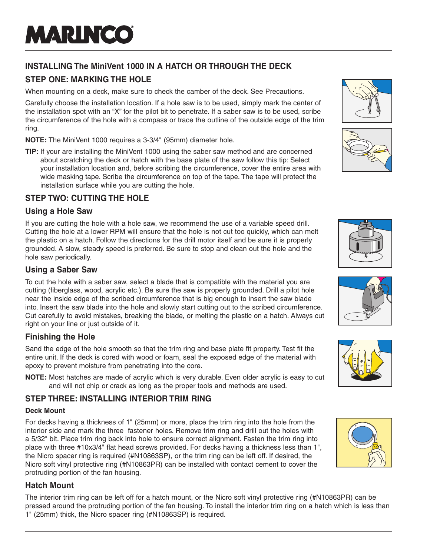# **INSTALLING The MiniVent 1000 IN A HATCH OR THROUGH THE DECK**

# **STEP ONE: MARKING THE HOLE**

When mounting on a deck, make sure to check the camber of the deck. See Precautions.

Carefully choose the installation location. If a hole saw is to be used, simply mark the center of the installation spot with an "X" for the pilot bit to penetrate. If a saber saw is to be used, scribe the circumference of the hole with a compass or trace the outline of the outside edge of the trim ring.

**NOTE:** The MiniVent 1000 requires a 3-3/4" (95mm) diameter hole.

**TIP:** If your are installing the MiniVent 1000 using the saber saw method and are concerned about scratching the deck or hatch with the base plate of the saw follow this tip: Select your installation location and, before scribing the circumference, cover the entire area with wide masking tape. Scribe the circumference on top of the tape. The tape will protect the installation surface while you are cutting the hole.

# **STEP TWO: CUTTING THE HOLE**

# **Using a Hole Saw**

If you are cutting the hole with a hole saw, we recommend the use of a variable speed drill. Cutting the hole at a lower RPM will ensure that the hole is not cut too quickly, which can melt the plastic on a hatch. Follow the directions for the drill motor itself and be sure it is properly grounded. A slow, steady speed is preferred. Be sure to stop and clean out the hole and the hole saw periodically.

# **Using a Saber Saw**

To cut the hole with a saber saw, select a blade that is compatible with the material you are cutting (fiberglass, wood, acrylic etc.). Be sure the saw is properly grounded. Drill a pilot hole near the inside edge of the scribed circumference that is big enough to insert the saw blade into. Insert the saw blade into the hole and slowly start cutting out to the scribed circumference. Cut carefully to avoid mistakes, breaking the blade, or melting the plastic on a hatch. Always cut right on your line or just outside of it.

# **Finishing the Hole**

Sand the edge of the hole smooth so that the trim ring and base plate fit property. Test fit the entire unit. If the deck is cored with wood or foam, seal the exposed edge of the material with epoxy to prevent moisture from penetrating into the core.

**NOTE:** Most hatches are made of acrylic which is very durable. Even older acrylic is easy to cut and will not chip or crack as long as the proper tools and methods are used.

# **STEP THREE: INSTALLING INTERIOR TRIM RING**

### **Deck Mount**

For decks having a thickness of 1" (25mm) or more, place the trim ring into the hole from the interior side and mark the three fastener holes. Remove trim ring and drill out the holes with a 5/32" bit. Place trim ring back into hole to ensure correct alignment. Fasten the trim ring into place with three #10x3/4" flat head screws provided. For decks having a thickness less than 1", the Nicro spacer ring is required (#N10863SP), or the trim ring can be left off. If desired, the Nicro soft vinyl protective ring (#N10863PR) can be installed with contact cement to cover the protruding portion of the fan housing.

# **Hatch Mount**

The interior trim ring can be left off for a hatch mount, or the Nicro soft vinyl protective ring (#N10863PR) can be pressed around the protruding portion of the fan housing. To install the interior trim ring on a hatch which is less than 1" (25mm) thick, the Nicro spacer ring (#N10863SP) is required.











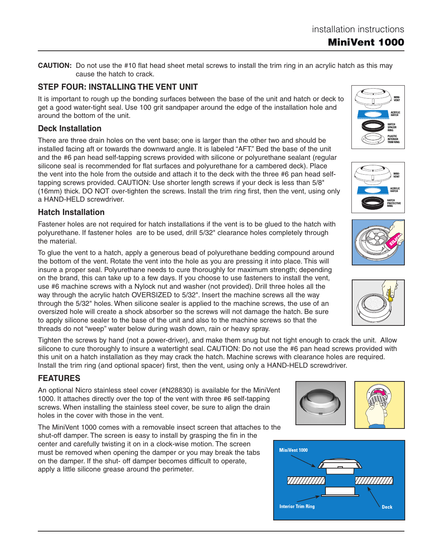MiniVent 1000

**CAUTION:** Do not use the #10 flat head sheet metal screws to install the trim ring in an acrylic hatch as this may cause the hatch to crack.

#### **STEP FOUR: INSTALLING THE VENT UNIT**

It is important to rough up the bonding surfaces between the base of the unit and hatch or deck to get a good water-tight seal. Use 100 grit sandpaper around the edge of the installation hole and around the bottom of the unit.

#### **Deck Installation**

There are three drain holes on the vent base; one is larger than the other two and should be installed facing aft or towards the downward angle. It is labeled "AFT." Bed the base of the unit and the #6 pan head self-tapping screws provided with silicone or polyurethane sealant (regular silicone seal is recommended for flat surfaces and polyurethane for a cambered deck). Place the vent into the hole from the outside and attach it to the deck with the three #6 pan head selftapping screws provided. CAUTION: Use shorter length screws if your deck is less than 5/8" (16mm) thick. DO NOT over-tighten the screws. Install the trim ring first, then the vent, using only a HAND-HELD screwdriver.

#### **Hatch Installation**

Fastener holes are not required for hatch installations if the vent is to be glued to the hatch with polyurethane. If fastener holes are to be used, drill 5/32" clearance holes completely through the material.

To glue the vent to a hatch, apply a generous bead of polyurethane bedding compound around the bottom of the vent. Rotate the vent into the hole as you are pressing it into place. This will insure a proper seal. Polyurethane needs to cure thoroughly for maximum strength; depending on the brand, this can take up to a few days. If you choose to use fasteners to install the vent, use #6 machine screws with a Nylock nut and washer (not provided). Drill three holes all the way through the acrylic hatch OVERSIZED to 5/32". Insert the machine screws all the way through the 5/32" holes. When silicone sealer is applied to the machine screws, the use of an oversized hole will create a shock absorber so the screws will not damage the hatch. Be sure to apply silicone sealer to the base of the unit and also to the machine screws so that the threads do not "weep" water below during wash down, rain or heavy spray.

Tighten the screws by hand (not a power-driver), and make them snug but not tight enough to crack the unit. Allow silicone to cure thoroughly to insure a watertight seal. CAUTION: Do not use the #6 pan head screws provided with this unit on a hatch installation as they may crack the hatch. Machine screws with clearance holes are required. Install the trim ring (and optional spacer) first, then the vent, using only a HAND-HELD screwdriver.

#### **FEATURES**

An optional Nicro stainless steel cover (#N28830) is available for the MiniVent 1000. It attaches directly over the top of the vent with three #6 self-tapping screws. When installing the stainless steel cover, be sure to align the drain holes in the cover with those in the vent.

The MiniVent 1000 comes with a removable insect screen that attaches to the shut-off damper. The screen is easy to install by grasping the fin in the center and carefully twisting it on in a clock-wise motion. The screen must be removed when opening the damper or you may break the tabs on the damper. If the shut- off damper becomes difficult to operate, apply a little silicone grease around the perimeter.